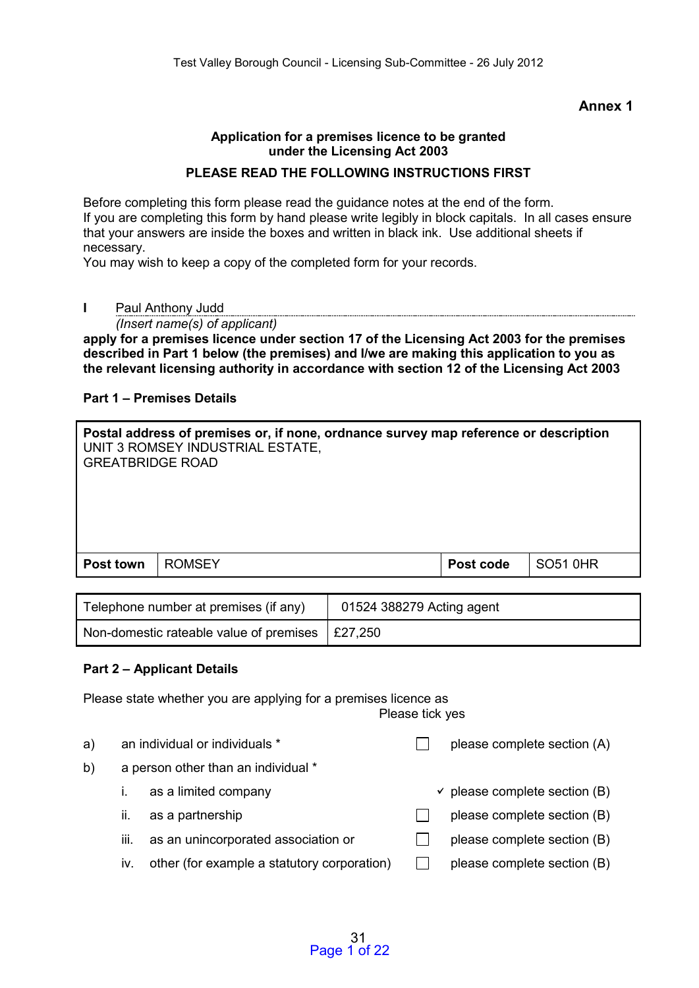#### **Annex 1**

#### **Application for a premises licence to be granted under the Licensing Act 2003**

#### **PLEASE READ THE FOLLOWING INSTRUCTIONS FIRST**

Before completing this form please read the guidance notes at the end of the form. If you are completing this form by hand please write legibly in block capitals. In all cases ensure that your answers are inside the boxes and written in black ink. Use additional sheets if necessary.

You may wish to keep a copy of the completed form for your records.

**I** Paul Anthony Judd

*(Insert name(s) of applicant)*

**apply for a premises licence under section 17 of the Licensing Act 2003 for the premises described in Part 1 below (the premises) and I/we are making this application to you as the relevant licensing authority in accordance with section 12 of the Licensing Act 2003** 

#### **Part 1 – Premises Details**

| Postal address of premises or, if none, ordnance survey map reference or description<br>UNIT 3 ROMSEY INDUSTRIAL ESTATE,<br><b>GREATBRIDGE ROAD</b> |               |           |                 |  |  |
|-----------------------------------------------------------------------------------------------------------------------------------------------------|---------------|-----------|-----------------|--|--|
| Post town                                                                                                                                           | <b>ROMSEY</b> | Post code | <b>SO51 0HR</b> |  |  |
|                                                                                                                                                     |               |           |                 |  |  |

| Telephone number at premises (if any)                   | 01524 388279 Acting agent |
|---------------------------------------------------------|---------------------------|
| Non-domestic rateable value of premises $\vert$ £27,250 |                           |

### **Part 2 – Applicant Details**

Please state whether you are applying for a premises licence as Please tick yes

| a) |     | an individual or individuals *              | please complete section (A)              |
|----|-----|---------------------------------------------|------------------------------------------|
| b) |     | a person other than an individual *         |                                          |
|    |     | as a limited company                        | $\checkmark$ please complete section (B) |
|    | Ш.  | as a partnership                            | please complete section (B)              |
|    | Ш.  | as an unincorporated association or         | please complete section (B)              |
|    | IV. | other (for example a statutory corporation) | please complete section (B)              |
|    |     |                                             |                                          |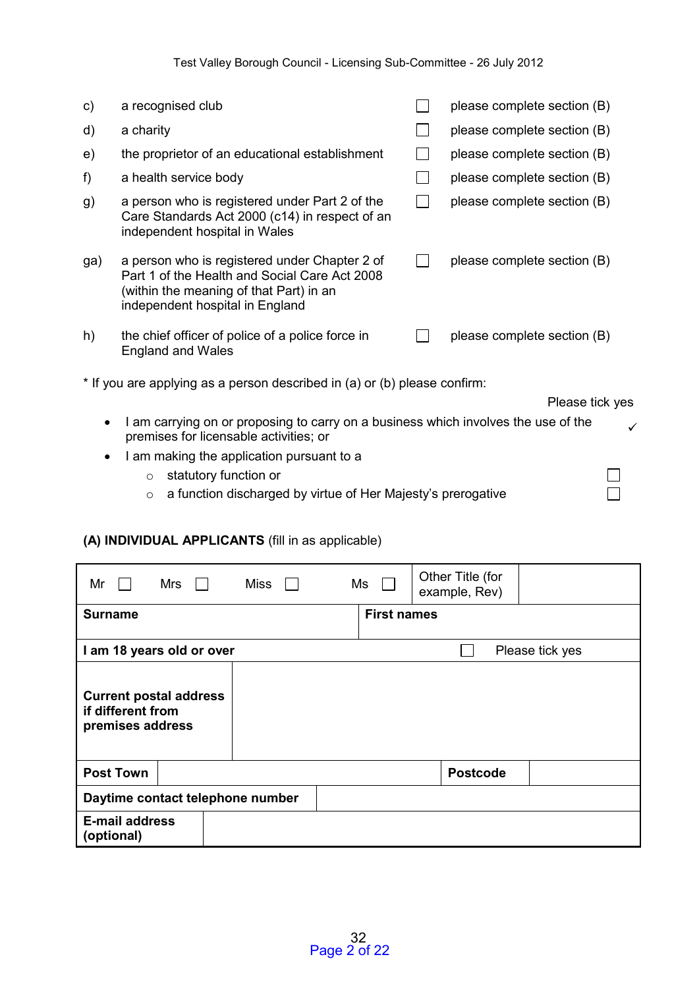| C)        | a recognised club                                                                                                                                                            |                   | please complete section (B) |  |
|-----------|------------------------------------------------------------------------------------------------------------------------------------------------------------------------------|-------------------|-----------------------------|--|
| d)        | a charity                                                                                                                                                                    |                   | please complete section (B) |  |
| e)        | the proprietor of an educational establishment                                                                                                                               |                   | please complete section (B) |  |
| f)        | a health service body                                                                                                                                                        |                   | please complete section (B) |  |
| g)        | a person who is registered under Part 2 of the<br>Care Standards Act 2000 (c14) in respect of an<br>independent hospital in Wales                                            | $\vert \ \ \vert$ | please complete section (B) |  |
| ga)       | a person who is registered under Chapter 2 of<br>Part 1 of the Health and Social Care Act 2008<br>(within the meaning of that Part) in an<br>independent hospital in England |                   | please complete section (B) |  |
| h)        | the chief officer of police of a police force in<br><b>England and Wales</b>                                                                                                 |                   | please complete section (B) |  |
|           | * If you are applying as a person described in (a) or (b) please confirm:                                                                                                    |                   |                             |  |
|           |                                                                                                                                                                              |                   | Please tick yes             |  |
|           | I am carrying on or proposing to carry on a business which involves the use of the<br>premises for licensable activities; or                                                 |                   |                             |  |
| $\bullet$ | I am making the application pursuant to a                                                                                                                                    |                   |                             |  |
|           | statutory function or<br>$\circ$                                                                                                                                             |                   |                             |  |
|           | a function discharged by virtue of Her Majesty's prerogative<br>$\circ$                                                                                                      |                   |                             |  |

## **(A) INDIVIDUAL APPLICANTS** (fill in as applicable)

| Miss<br>Mr<br>Mrs<br>$\mathbf{I}$                                      | Other Title (for<br>Ms<br>example, Rev) |
|------------------------------------------------------------------------|-----------------------------------------|
| <b>Surname</b>                                                         | <b>First names</b>                      |
| I am 18 years old or over                                              | Please tick yes                         |
| <b>Current postal address</b><br>if different from<br>premises address |                                         |
| <b>Post Town</b>                                                       | <b>Postcode</b>                         |
| Daytime contact telephone number                                       |                                         |
| <b>E-mail address</b><br>(optional)                                    |                                         |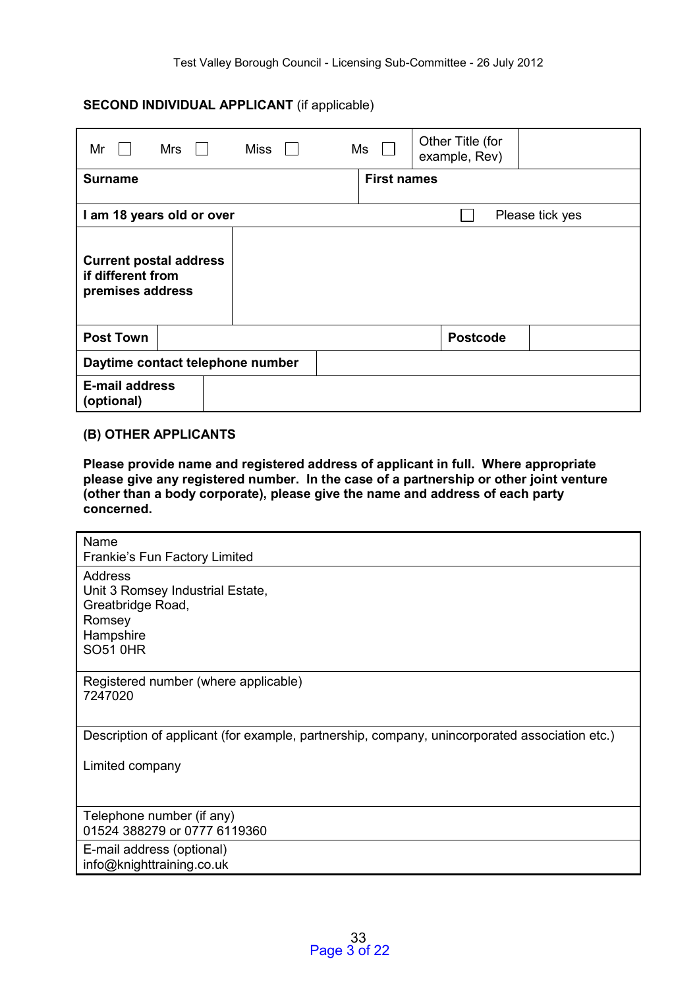### **SECOND INDIVIDUAL APPLICANT** (if applicable)

| Mr                                                                     | Mrs<br>$\mathbf{1}$ |  | Miss |  |  | Ms                 | Other Title (for<br>example, Rev) |  |                 |
|------------------------------------------------------------------------|---------------------|--|------|--|--|--------------------|-----------------------------------|--|-----------------|
| <b>Surname</b>                                                         |                     |  |      |  |  | <b>First names</b> |                                   |  |                 |
| I am 18 years old or over                                              |                     |  |      |  |  |                    |                                   |  | Please tick yes |
| <b>Current postal address</b><br>if different from<br>premises address |                     |  |      |  |  |                    |                                   |  |                 |
| <b>Post Town</b>                                                       |                     |  |      |  |  | <b>Postcode</b>    |                                   |  |                 |
| Daytime contact telephone number                                       |                     |  |      |  |  |                    |                                   |  |                 |
| <b>E-mail address</b><br>(optional)                                    |                     |  |      |  |  |                    |                                   |  |                 |

#### **(B) OTHER APPLICANTS**

**Please provide name and registered address of applicant in full. Where appropriate please give any registered number. In the case of a partnership or other joint venture (other than a body corporate), please give the name and address of each party concerned.**

| Name<br>Frankie's Fun Factory Limited                                                                      |
|------------------------------------------------------------------------------------------------------------|
| Address<br>Unit 3 Romsey Industrial Estate,<br>Greatbridge Road,<br>Romsey<br>Hampshire<br><b>SO51 0HR</b> |
| Registered number (where applicable)<br>7247020                                                            |
| Description of applicant (for example, partnership, company, unincorporated association etc.)              |
| Limited company                                                                                            |
| Telephone number (if any)<br>01524 388279 or 0777 6119360                                                  |
| E-mail address (optional)<br>info@knighttraining.co.uk                                                     |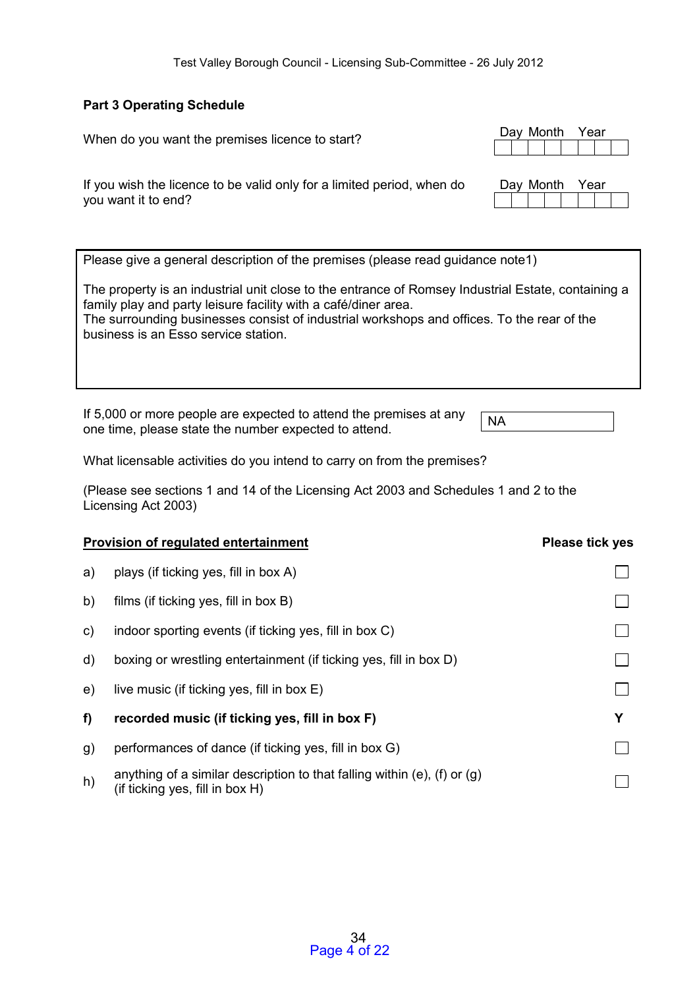Day Month Year

### **Part 3 Operating Schedule**

When do you want the premises licence to start?

| If you wish the licence to be valid only for a limited period, when do<br>you want it to end?      | Day Month<br>Year |
|----------------------------------------------------------------------------------------------------|-------------------|
| Please give a general description of the premises (please read guidance note1)                     |                   |
| The property is an industrial unit close to the entrance of Romsey Industrial Estate, containing a |                   |

family play and party leisure facility with a café/diner area. The surrounding businesses consist of industrial workshops and offices. To the rear of the business is an Esso service station.

If 5,000 or more people are expected to attend the premises at any If 3,000 of filore people are expected to attend the prefiless at any  $NA$ 

What licensable activities do you intend to carry on from the premises?

(Please see sections 1 and 14 of the Licensing Act 2003 and Schedules 1 and 2 to the Licensing Act 2003)

|              | <b>Provision of regulated entertainment</b>                                                                      | <b>Please tick yes</b> |
|--------------|------------------------------------------------------------------------------------------------------------------|------------------------|
| a)           | plays (if ticking yes, fill in box A)                                                                            |                        |
| b)           | films (if ticking yes, fill in box B)                                                                            |                        |
| $\mathsf{c}$ | indoor sporting events (if ticking yes, fill in box C)                                                           |                        |
| d)           | boxing or wrestling entertainment (if ticking yes, fill in box D)                                                |                        |
| e)           | live music (if ticking yes, fill in box E)                                                                       |                        |
| f)           | recorded music (if ticking yes, fill in box F)                                                                   | Υ                      |
| g)           | performances of dance (if ticking yes, fill in box G)                                                            |                        |
| h)           | anything of a similar description to that falling within (e), (f) or $(g)$<br>(if ticking yes, fill in box $H$ ) |                        |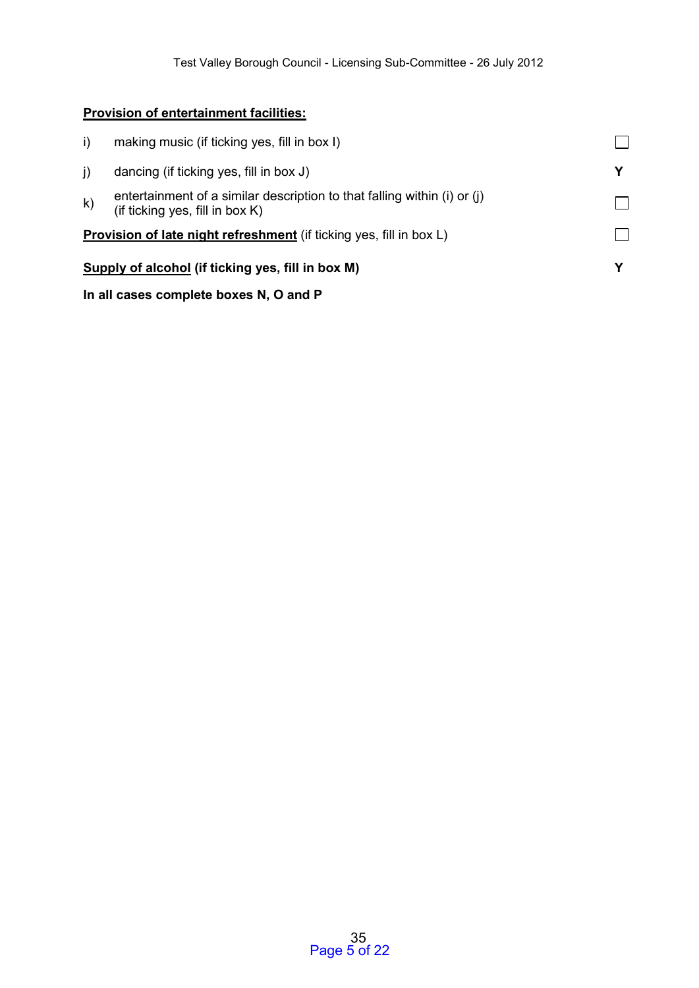## **Provision of entertainment facilities:**

| i)           | making music (if ticking yes, fill in box I)                                                                |  |  |  |  |  |  |
|--------------|-------------------------------------------------------------------------------------------------------------|--|--|--|--|--|--|
| $\mathbf{j}$ | dancing (if ticking yes, fill in box J)                                                                     |  |  |  |  |  |  |
| $\mathsf{k}$ | entertainment of a similar description to that falling within (i) or (j)<br>(if ticking yes, fill in box K) |  |  |  |  |  |  |
|              | <b>Provision of late night refreshment</b> (if ticking yes, fill in box L)                                  |  |  |  |  |  |  |
|              | Supply of alcohol (if ticking yes, fill in box M)                                                           |  |  |  |  |  |  |
|              | In all cases complete boxes N, O and P                                                                      |  |  |  |  |  |  |

## 35 Page 5 of 22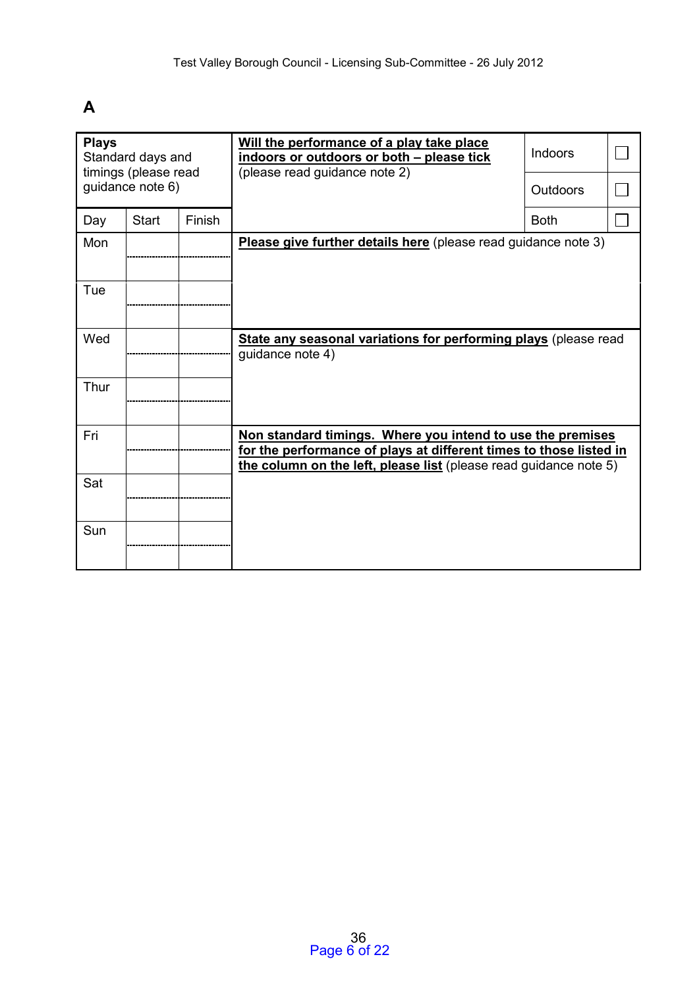# **A**

| <b>Plays</b><br>Standard days and<br>timings (please read |                  |        | Will the performance of a play take place<br>indoors or outdoors or both - please tick<br>(please read guidance note 2)                                                                               | Indoors         |  |
|-----------------------------------------------------------|------------------|--------|-------------------------------------------------------------------------------------------------------------------------------------------------------------------------------------------------------|-----------------|--|
|                                                           | guidance note 6) |        |                                                                                                                                                                                                       | <b>Outdoors</b> |  |
| Day                                                       | <b>Start</b>     | Finish |                                                                                                                                                                                                       | <b>Both</b>     |  |
| Mon                                                       |                  |        | Please give further details here (please read guidance note 3)                                                                                                                                        |                 |  |
| Tue                                                       |                  |        |                                                                                                                                                                                                       |                 |  |
| Wed                                                       |                  |        | State any seasonal variations for performing plays (please read<br>quidance note 4)                                                                                                                   |                 |  |
| Thur                                                      |                  |        |                                                                                                                                                                                                       |                 |  |
| Fri                                                       |                  |        | Non standard timings. Where you intend to use the premises<br>for the performance of plays at different times to those listed in<br>the column on the left, please list (please read guidance note 5) |                 |  |
| Sat                                                       |                  |        |                                                                                                                                                                                                       |                 |  |
| Sun                                                       |                  |        |                                                                                                                                                                                                       |                 |  |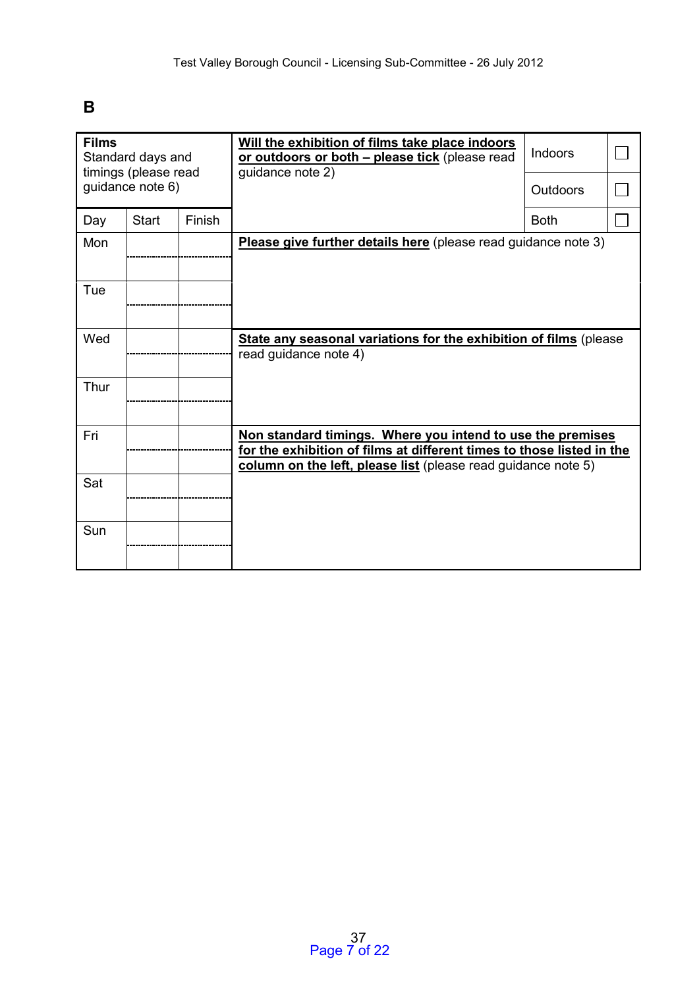# **B**

| <b>Films</b><br>Standard days and<br>timings (please read |                  |               | Will the exhibition of films take place indoors<br>or outdoors or both - please tick (please read<br>guidance note 2)                                                                                | <b>Indoors</b>  |  |
|-----------------------------------------------------------|------------------|---------------|------------------------------------------------------------------------------------------------------------------------------------------------------------------------------------------------------|-----------------|--|
|                                                           | guidance note 6) |               |                                                                                                                                                                                                      | <b>Outdoors</b> |  |
| Day                                                       | <b>Start</b>     | <b>Finish</b> |                                                                                                                                                                                                      | <b>Both</b>     |  |
| Mon                                                       |                  |               | Please give further details here (please read guidance note 3)                                                                                                                                       |                 |  |
| Tue                                                       |                  |               |                                                                                                                                                                                                      |                 |  |
| Wed                                                       |                  |               | State any seasonal variations for the exhibition of films (please<br>read guidance note 4)                                                                                                           |                 |  |
| Thur                                                      |                  |               |                                                                                                                                                                                                      |                 |  |
| Fri                                                       |                  |               | Non standard timings. Where you intend to use the premises<br>for the exhibition of films at different times to those listed in the<br>column on the left, please list (please read guidance note 5) |                 |  |
| Sat                                                       |                  |               |                                                                                                                                                                                                      |                 |  |
| Sun                                                       |                  |               |                                                                                                                                                                                                      |                 |  |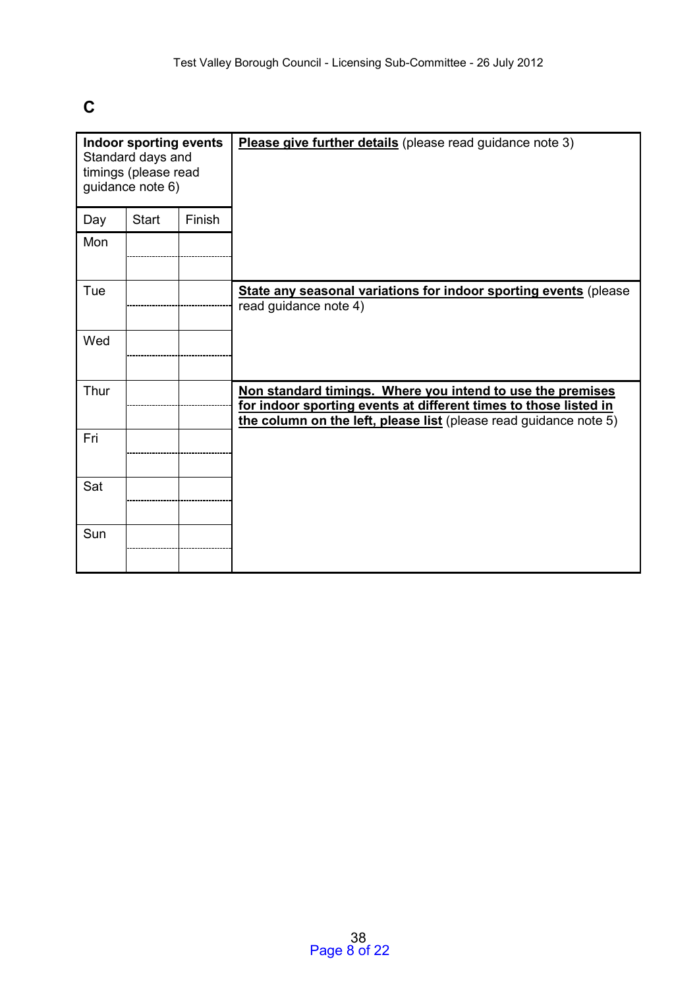# **C**

| Indoor sporting events<br>Standard days and<br>timings (please read<br>guidance note 6) |              |               | Please give further details (please read guidance note 3)                                                                                                                                           |
|-----------------------------------------------------------------------------------------|--------------|---------------|-----------------------------------------------------------------------------------------------------------------------------------------------------------------------------------------------------|
| Day                                                                                     | <b>Start</b> | <b>Finish</b> |                                                                                                                                                                                                     |
| Mon                                                                                     |              |               |                                                                                                                                                                                                     |
| Tue                                                                                     |              |               | State any seasonal variations for indoor sporting events (please<br>read guidance note 4)                                                                                                           |
| Wed                                                                                     |              |               |                                                                                                                                                                                                     |
| Thur                                                                                    |              |               | Non standard timings. Where you intend to use the premises<br>for indoor sporting events at different times to those listed in<br>the column on the left, please list (please read guidance note 5) |
| Fri                                                                                     |              |               |                                                                                                                                                                                                     |
| Sat                                                                                     |              |               |                                                                                                                                                                                                     |
| Sun                                                                                     |              |               |                                                                                                                                                                                                     |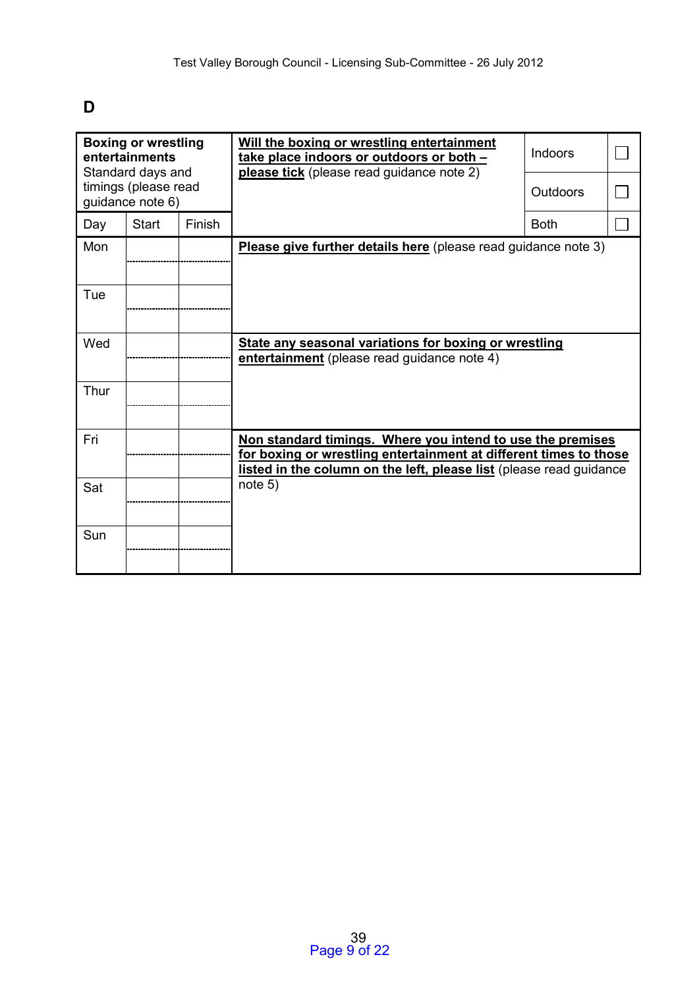# **D**

|      | <b>Boxing or wrestling</b><br>entertainments<br>Standard days and |        | Will the boxing or wrestling entertainment<br>take place indoors or outdoors or both -<br>please tick (please read guidance note 2)                                                                    | <b>Indoors</b>  |  |
|------|-------------------------------------------------------------------|--------|--------------------------------------------------------------------------------------------------------------------------------------------------------------------------------------------------------|-----------------|--|
|      | timings (please read<br>guidance note 6)                          |        |                                                                                                                                                                                                        | <b>Outdoors</b> |  |
| Day  | <b>Start</b>                                                      | Finish |                                                                                                                                                                                                        | <b>Both</b>     |  |
| Mon  |                                                                   |        | Please give further details here (please read guidance note 3)                                                                                                                                         |                 |  |
| Tue  |                                                                   |        |                                                                                                                                                                                                        |                 |  |
| Wed  |                                                                   |        | State any seasonal variations for boxing or wrestling<br>entertainment (please read guidance note 4)                                                                                                   |                 |  |
| Thur |                                                                   |        |                                                                                                                                                                                                        |                 |  |
| Fri  |                                                                   |        | Non standard timings. Where you intend to use the premises<br>for boxing or wrestling entertainment at different times to those<br>listed in the column on the left, please list (please read guidance |                 |  |
| Sat  |                                                                   |        | note 5)                                                                                                                                                                                                |                 |  |
| Sun  |                                                                   |        |                                                                                                                                                                                                        |                 |  |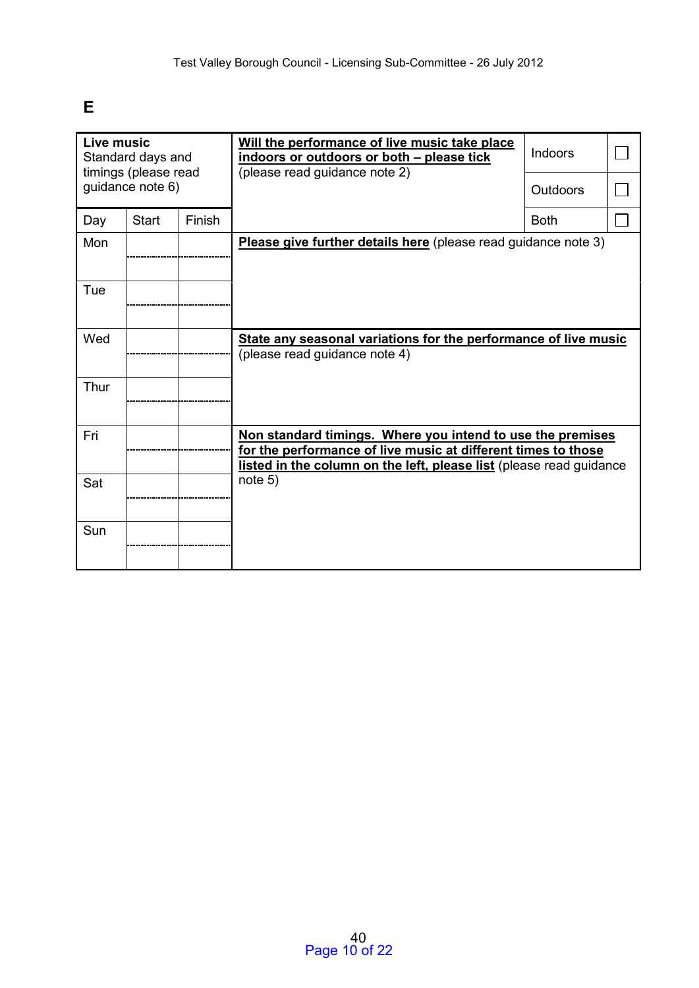# **E**

| Live music | Standard days and<br>timings (please read |        | Will the performance of live music take place<br>indoors or outdoors or both - please tick<br>(please read guidance note 2)                                                                        | <b>Indoors</b> |  |
|------------|-------------------------------------------|--------|----------------------------------------------------------------------------------------------------------------------------------------------------------------------------------------------------|----------------|--|
|            | guidance note 6)                          |        |                                                                                                                                                                                                    | Outdoors       |  |
| Day        | <b>Start</b>                              | Finish |                                                                                                                                                                                                    | <b>Both</b>    |  |
| Mon        |                                           |        | Please give further details here (please read guidance note 3)                                                                                                                                     |                |  |
| Tue        |                                           |        |                                                                                                                                                                                                    |                |  |
| Wed        |                                           |        | State any seasonal variations for the performance of live music<br>(please read guidance note 4)                                                                                                   |                |  |
| Thur       |                                           |        |                                                                                                                                                                                                    |                |  |
| Fri        |                                           |        | Non standard timings. Where you intend to use the premises<br>for the performance of live music at different times to those<br>listed in the column on the left, please list (please read guidance |                |  |
| Sat        |                                           |        | note 5)                                                                                                                                                                                            |                |  |
| Sun        |                                           |        |                                                                                                                                                                                                    |                |  |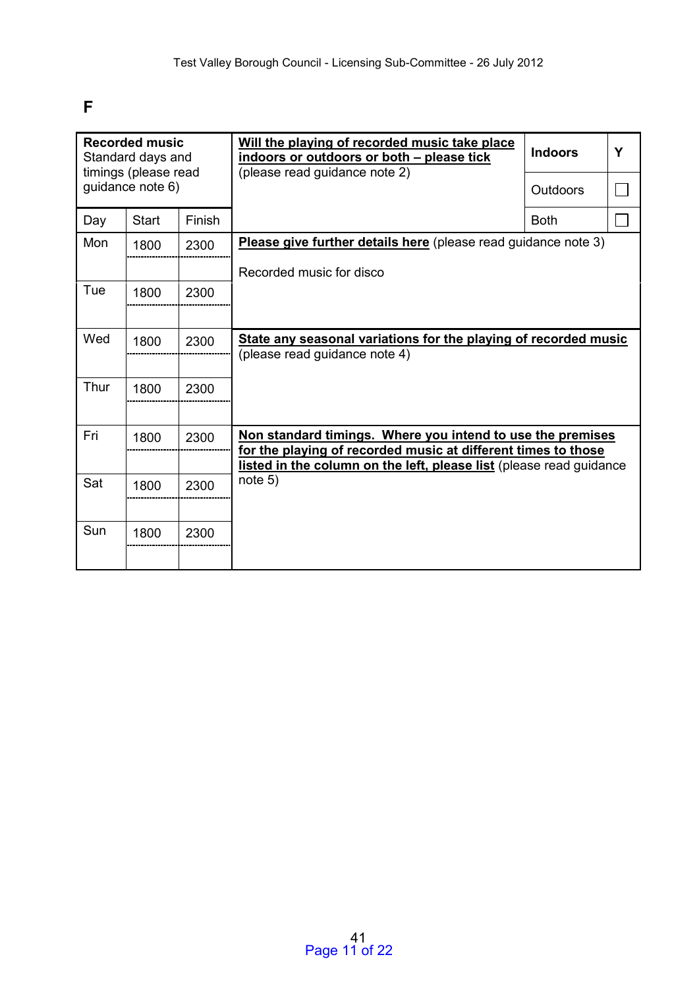# **F**

|      | <b>Recorded music</b><br>Standard days and<br>timings (please read |        | Will the playing of recorded music take place<br>indoors or outdoors or both - please tick                                  | <b>Indoors</b> | Y |
|------|--------------------------------------------------------------------|--------|-----------------------------------------------------------------------------------------------------------------------------|----------------|---|
|      | guidance note 6)                                                   |        | (please read guidance note 2)                                                                                               | Outdoors       |   |
| Day  | <b>Start</b>                                                       | Finish |                                                                                                                             | <b>Both</b>    |   |
| Mon  | 1800                                                               | 2300   | Please give further details here (please read guidance note 3)                                                              |                |   |
|      |                                                                    |        | Recorded music for disco                                                                                                    |                |   |
| Tue  | 1800                                                               | 2300   |                                                                                                                             |                |   |
|      |                                                                    |        |                                                                                                                             |                |   |
| Wed  | 1800                                                               | 2300   | State any seasonal variations for the playing of recorded music<br>(please read guidance note 4)                            |                |   |
|      |                                                                    |        |                                                                                                                             |                |   |
| Thur | 1800                                                               | 2300   |                                                                                                                             |                |   |
|      |                                                                    |        |                                                                                                                             |                |   |
| Fri  | 1800                                                               | 2300   | Non standard timings. Where you intend to use the premises<br>for the playing of recorded music at different times to those |                |   |
|      |                                                                    |        | listed in the column on the left, please list (please read guidance                                                         |                |   |
| Sat  | 1800                                                               | 2300   | note 5)                                                                                                                     |                |   |
|      |                                                                    |        |                                                                                                                             |                |   |
| Sun  | 1800                                                               | 2300   |                                                                                                                             |                |   |
|      |                                                                    |        |                                                                                                                             |                |   |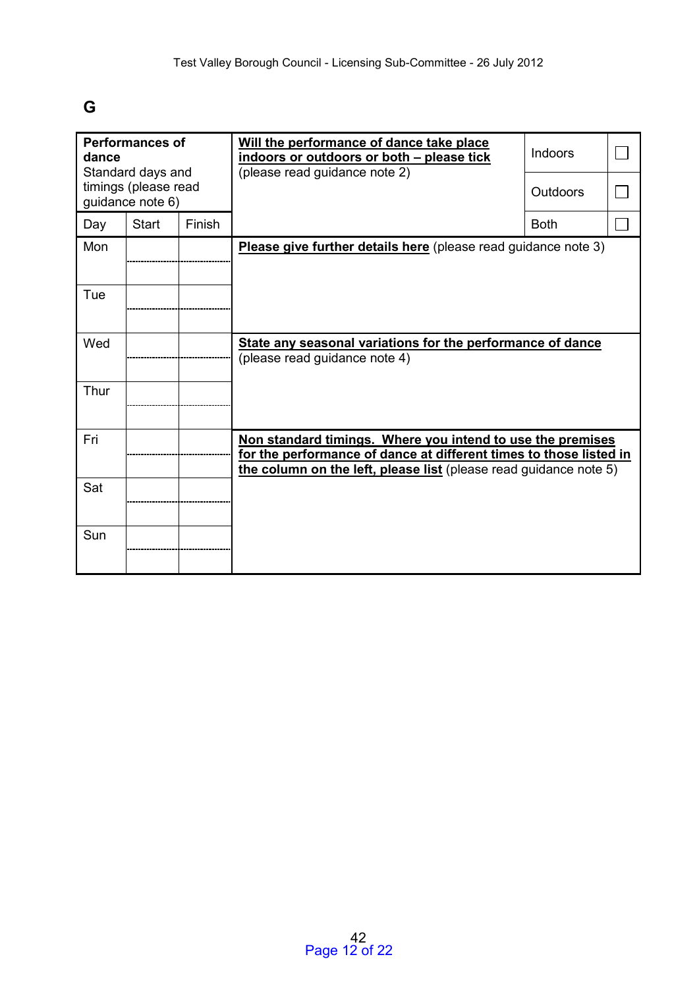# **G**

| dance | <b>Performances of</b><br>Standard days and |        | Will the performance of dance take place<br>indoors or outdoors or both - please tick<br>(please read guidance note 2)                                                                                | Indoors     |  |
|-------|---------------------------------------------|--------|-------------------------------------------------------------------------------------------------------------------------------------------------------------------------------------------------------|-------------|--|
|       | timings (please read<br>guidance note 6)    |        |                                                                                                                                                                                                       | Outdoors    |  |
| Day   | <b>Start</b>                                | Finish |                                                                                                                                                                                                       | <b>Both</b> |  |
| Mon   |                                             |        | Please give further details here (please read guidance note 3)                                                                                                                                        |             |  |
| Tue   |                                             |        |                                                                                                                                                                                                       |             |  |
| Wed   |                                             |        | State any seasonal variations for the performance of dance<br>(please read guidance note 4)                                                                                                           |             |  |
| Thur  |                                             |        |                                                                                                                                                                                                       |             |  |
| Fri   |                                             |        | Non standard timings. Where you intend to use the premises<br>for the performance of dance at different times to those listed in<br>the column on the left, please list (please read guidance note 5) |             |  |
| Sat   |                                             |        |                                                                                                                                                                                                       |             |  |
| Sun   |                                             |        |                                                                                                                                                                                                       |             |  |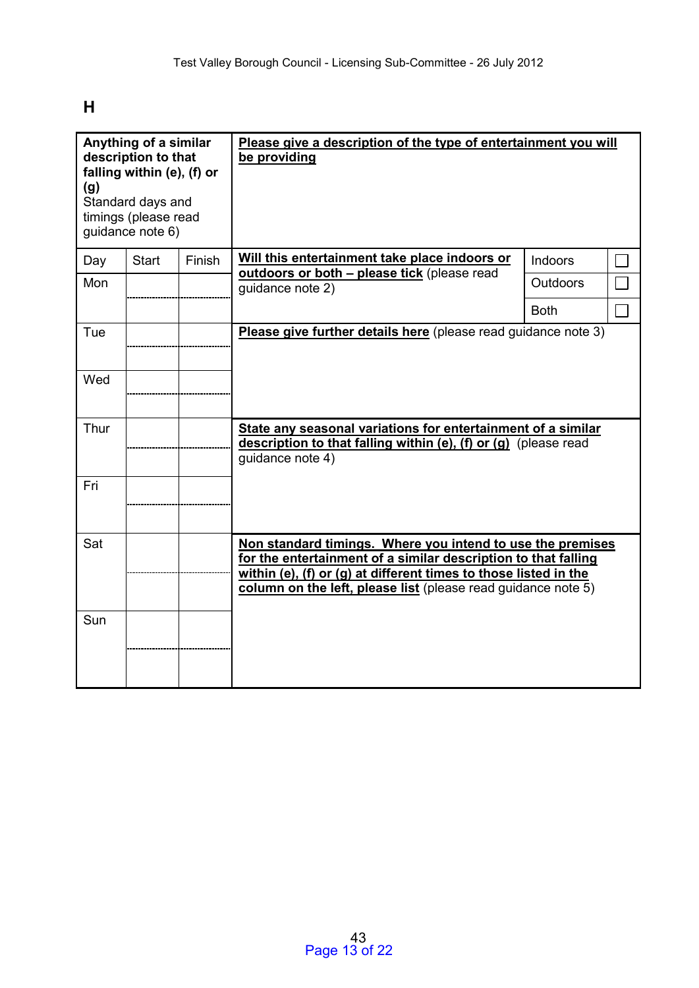**H** 

| Anything of a similar<br>description to that<br>falling within (e), (f) or<br>(g)<br>Standard days and<br>timings (please read<br>guidance note 6) |              |        | Please give a description of the type of entertainment you will<br>be providing                                                                                                                                                                                   |                 |  |
|----------------------------------------------------------------------------------------------------------------------------------------------------|--------------|--------|-------------------------------------------------------------------------------------------------------------------------------------------------------------------------------------------------------------------------------------------------------------------|-----------------|--|
| Day                                                                                                                                                | <b>Start</b> | Finish | Will this entertainment take place indoors or<br>outdoors or both - please tick (please read                                                                                                                                                                      | Indoors         |  |
| Mon                                                                                                                                                |              |        | quidance note 2)                                                                                                                                                                                                                                                  | <b>Outdoors</b> |  |
|                                                                                                                                                    |              |        |                                                                                                                                                                                                                                                                   | <b>Both</b>     |  |
| Tue                                                                                                                                                |              |        | Please give further details here (please read guidance note 3)                                                                                                                                                                                                    |                 |  |
| Wed                                                                                                                                                |              |        |                                                                                                                                                                                                                                                                   |                 |  |
| Thur                                                                                                                                               |              |        | State any seasonal variations for entertainment of a similar<br>description to that falling within (e), (f) or (g) (please read<br>quidance note 4)                                                                                                               |                 |  |
| Fri                                                                                                                                                |              |        |                                                                                                                                                                                                                                                                   |                 |  |
| Sat                                                                                                                                                |              |        | Non standard timings. Where you intend to use the premises<br>for the entertainment of a similar description to that falling<br>within (e), (f) or (g) at different times to those listed in the<br>column on the left, please list (please read guidance note 5) |                 |  |
| Sun                                                                                                                                                |              |        |                                                                                                                                                                                                                                                                   |                 |  |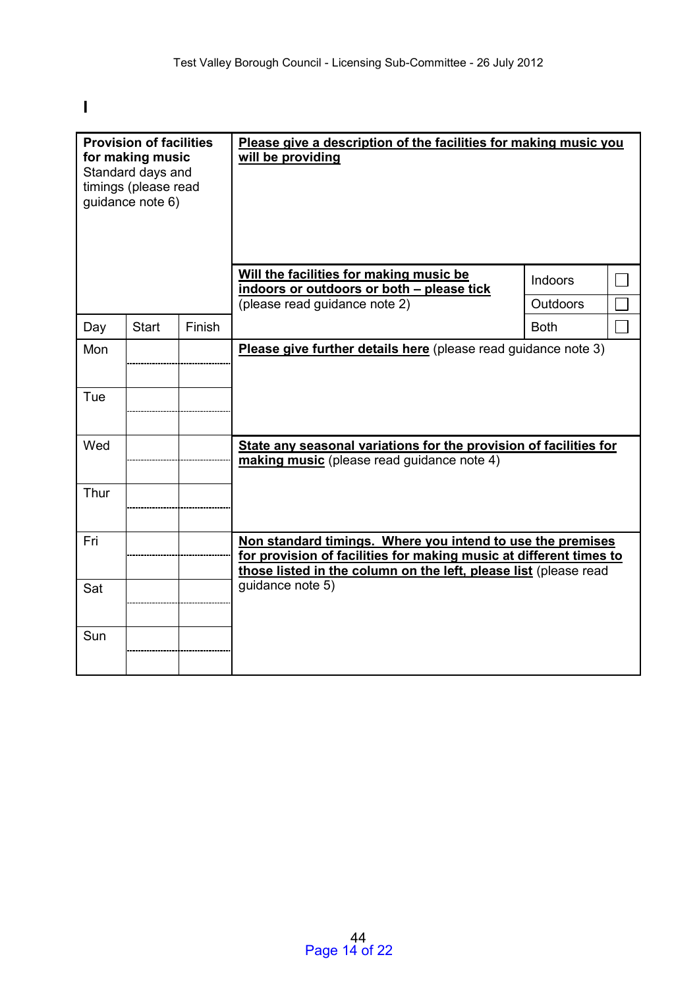**I** 

| <b>Provision of facilities</b><br>for making music<br>Standard days and<br>timings (please read<br>guidance note 6) |              |        | Please give a description of the facilities for making music you<br>will be providing<br>Will the facilities for making music be<br>indoors or outdoors or both - please tick<br>(please read guidance note 2) | Indoors<br><b>Outdoors</b> |  |
|---------------------------------------------------------------------------------------------------------------------|--------------|--------|----------------------------------------------------------------------------------------------------------------------------------------------------------------------------------------------------------------|----------------------------|--|
| Day                                                                                                                 | <b>Start</b> | Finish |                                                                                                                                                                                                                | <b>Both</b>                |  |
| Mon<br>Tue                                                                                                          |              |        | Please give further details here (please read guidance note 3)                                                                                                                                                 |                            |  |
| Wed<br>Thur                                                                                                         |              |        | State any seasonal variations for the provision of facilities for<br>making music (please read guidance note 4)                                                                                                |                            |  |
| Fri                                                                                                                 |              |        | Non standard timings. Where you intend to use the premises<br>for provision of facilities for making music at different times to<br>those listed in the column on the left, please list (please read           |                            |  |
| Sat                                                                                                                 |              |        | guidance note 5)                                                                                                                                                                                               |                            |  |
| Sun                                                                                                                 |              |        |                                                                                                                                                                                                                |                            |  |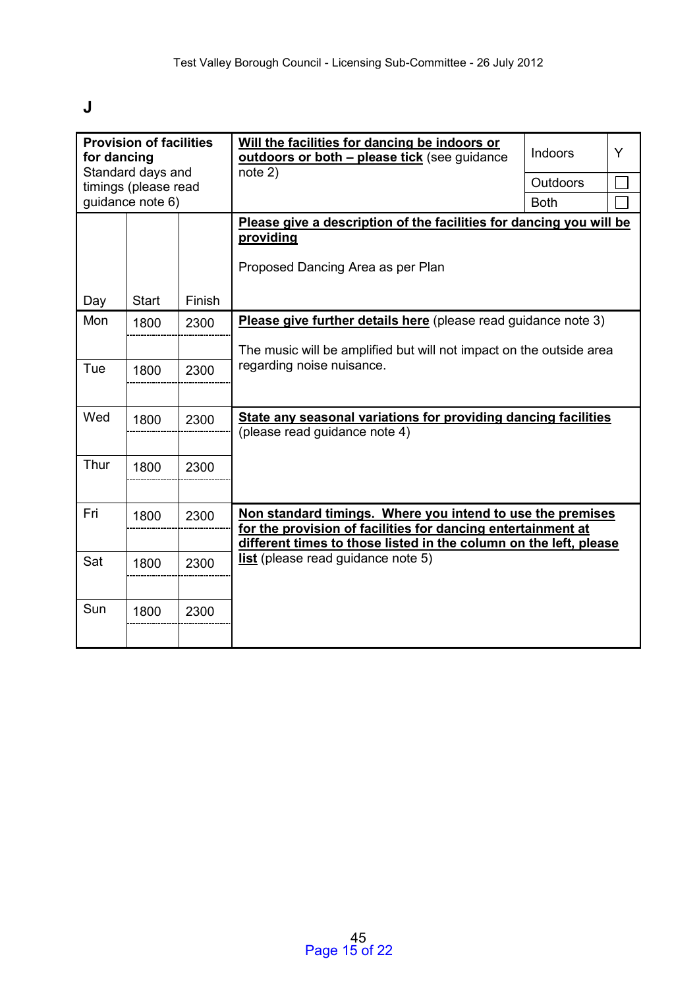# **J**

| <b>Provision of facilities</b><br>for dancing<br>Standard days and |                      |        | Will the facilities for dancing be indoors or<br>outdoors or both - please tick (see guidance                                                                                                   | <b>Indoors</b>  | Y |
|--------------------------------------------------------------------|----------------------|--------|-------------------------------------------------------------------------------------------------------------------------------------------------------------------------------------------------|-----------------|---|
|                                                                    | timings (please read |        | note 2)                                                                                                                                                                                         | <b>Outdoors</b> |   |
|                                                                    | guidance note 6)     |        |                                                                                                                                                                                                 | <b>Both</b>     |   |
|                                                                    |                      |        | Please give a description of the facilities for dancing you will be<br>providing<br>Proposed Dancing Area as per Plan                                                                           |                 |   |
| Day                                                                | <b>Start</b>         | Finish |                                                                                                                                                                                                 |                 |   |
| Mon                                                                | 1800                 | 2300   | Please give further details here (please read guidance note 3)                                                                                                                                  |                 |   |
|                                                                    |                      |        | The music will be amplified but will not impact on the outside area                                                                                                                             |                 |   |
| Tue                                                                | 1800                 | 2300   | regarding noise nuisance.                                                                                                                                                                       |                 |   |
| Wed                                                                | 1800                 | 2300   | State any seasonal variations for providing dancing facilities<br>(please read guidance note 4)                                                                                                 |                 |   |
| Thur                                                               | 1800                 | 2300   |                                                                                                                                                                                                 |                 |   |
| Fri                                                                | 1800                 | 2300   | Non standard timings. Where you intend to use the premises<br>for the provision of facilities for dancing entertainment at<br>different times to those listed in the column on the left, please |                 |   |
| Sat                                                                | 1800                 | 2300   | <b>list</b> (please read guidance note 5)                                                                                                                                                       |                 |   |
| Sun                                                                | 1800                 | 2300   |                                                                                                                                                                                                 |                 |   |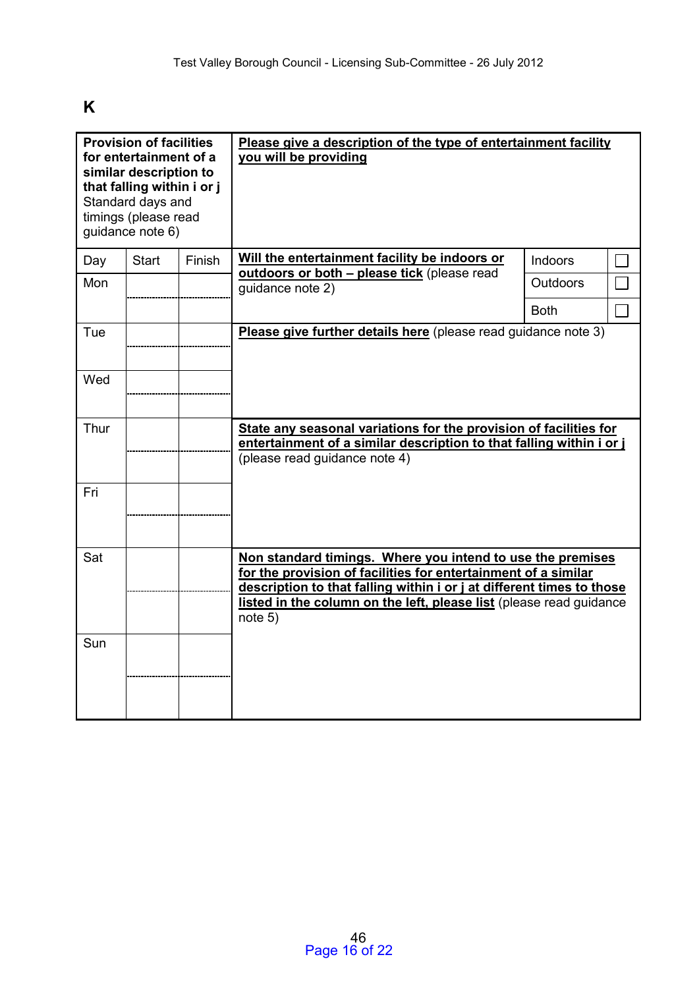# **K**

| <b>Provision of facilities</b><br>for entertainment of a<br>similar description to<br>that falling within i or j<br>Standard days and<br>timings (please read<br>guidance note 6) |              |        | Please give a description of the type of entertainment facility<br>you will be providing                                                                                                                                                                                                |                 |  |
|-----------------------------------------------------------------------------------------------------------------------------------------------------------------------------------|--------------|--------|-----------------------------------------------------------------------------------------------------------------------------------------------------------------------------------------------------------------------------------------------------------------------------------------|-----------------|--|
| Day                                                                                                                                                                               | <b>Start</b> | Finish | Will the entertainment facility be indoors or<br>outdoors or both - please tick (please read                                                                                                                                                                                            | Indoors         |  |
| Mon                                                                                                                                                                               |              |        | guidance note 2)                                                                                                                                                                                                                                                                        | <b>Outdoors</b> |  |
|                                                                                                                                                                                   |              |        |                                                                                                                                                                                                                                                                                         | <b>Both</b>     |  |
| Tue                                                                                                                                                                               |              |        | Please give further details here (please read guidance note 3)                                                                                                                                                                                                                          |                 |  |
| Wed                                                                                                                                                                               |              |        |                                                                                                                                                                                                                                                                                         |                 |  |
| Thur                                                                                                                                                                              |              |        | State any seasonal variations for the provision of facilities for<br>entertainment of a similar description to that falling within i or j<br>(please read guidance note 4)                                                                                                              |                 |  |
| Fri                                                                                                                                                                               |              |        |                                                                                                                                                                                                                                                                                         |                 |  |
| Sat                                                                                                                                                                               |              |        | Non standard timings. Where you intend to use the premises<br>for the provision of facilities for entertainment of a similar<br>description to that falling within i or j at different times to those<br>listed in the column on the left, please list (please read guidance<br>note 5) |                 |  |
| Sun                                                                                                                                                                               |              |        |                                                                                                                                                                                                                                                                                         |                 |  |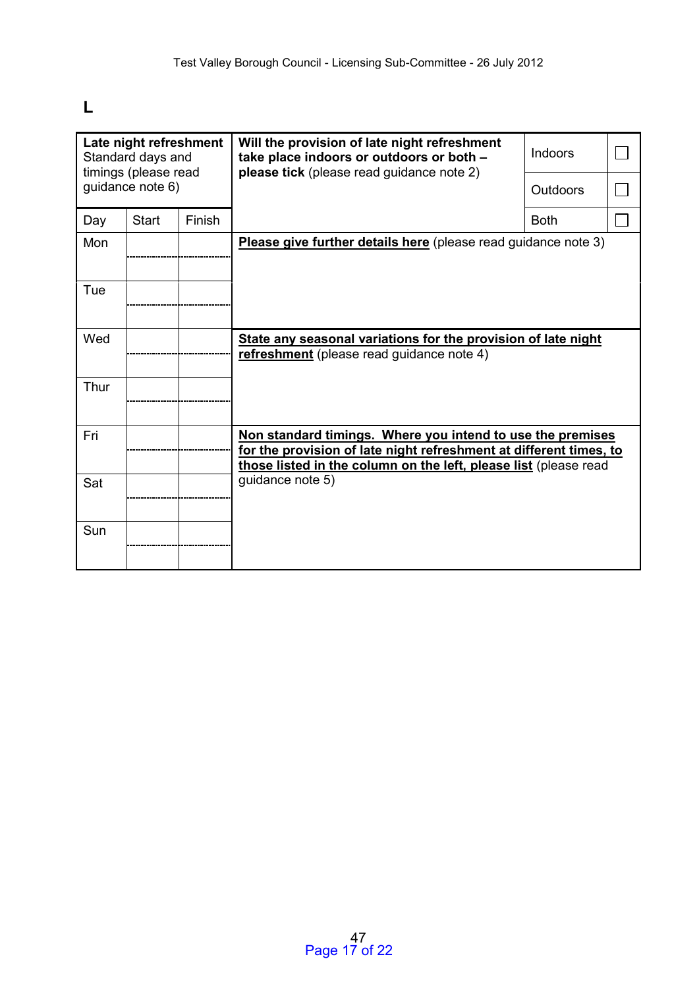# **L**

|      | Late night refreshment<br>Standard days and<br>timings (please read |        | Will the provision of late night refreshment<br>take place indoors or outdoors or both -<br>please tick (please read guidance note 2)                                                                | Indoors     |  |
|------|---------------------------------------------------------------------|--------|------------------------------------------------------------------------------------------------------------------------------------------------------------------------------------------------------|-------------|--|
|      | guidance note 6)                                                    |        |                                                                                                                                                                                                      | Outdoors    |  |
| Day  | <b>Start</b>                                                        | Finish |                                                                                                                                                                                                      | <b>Both</b> |  |
| Mon  |                                                                     |        | <b>Please give further details here</b> (please read guidance note 3)                                                                                                                                |             |  |
| Tue  |                                                                     |        |                                                                                                                                                                                                      |             |  |
| Wed  |                                                                     |        | State any seasonal variations for the provision of late night<br>refreshment (please read guidance note 4)                                                                                           |             |  |
| Thur |                                                                     |        |                                                                                                                                                                                                      |             |  |
| Fri  |                                                                     |        | Non standard timings. Where you intend to use the premises<br>for the provision of late night refreshment at different times, to<br>those listed in the column on the left, please list (please read |             |  |
| Sat  |                                                                     |        | quidance note 5)                                                                                                                                                                                     |             |  |
| Sun  |                                                                     |        |                                                                                                                                                                                                      |             |  |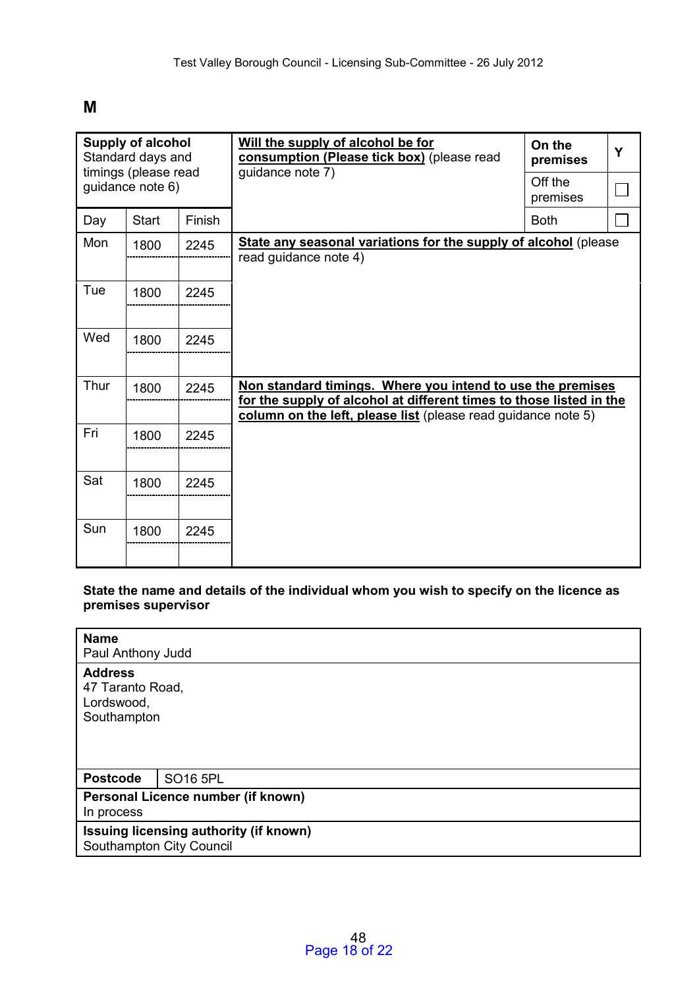## **M**

|      | <b>Supply of alcohol</b><br>Standard days and<br>timings (please read |        | Will the supply of alcohol be for<br>consumption (Please tick box) (please read                                                                                                                    | On the<br>premises  | Y |
|------|-----------------------------------------------------------------------|--------|----------------------------------------------------------------------------------------------------------------------------------------------------------------------------------------------------|---------------------|---|
|      | guidance note 6)                                                      |        | guidance note 7)                                                                                                                                                                                   | Off the<br>premises |   |
| Day  | <b>Start</b>                                                          | Finish |                                                                                                                                                                                                    | <b>Both</b>         |   |
| Mon  | 1800                                                                  | 2245   | <b>State any seasonal variations for the supply of alcohol</b> (please<br>read guidance note 4)                                                                                                    |                     |   |
| Tue  | 1800                                                                  | 2245   |                                                                                                                                                                                                    |                     |   |
| Wed  | 1800                                                                  | 2245   |                                                                                                                                                                                                    |                     |   |
| Thur | 1800                                                                  | 2245   | Non standard timings. Where you intend to use the premises<br>for the supply of alcohol at different times to those listed in the<br>column on the left, please list (please read guidance note 5) |                     |   |
| Fri  | 1800                                                                  | 2245   |                                                                                                                                                                                                    |                     |   |
| Sat  | 1800                                                                  | 2245   |                                                                                                                                                                                                    |                     |   |
| Sun  | 1800                                                                  | 2245   |                                                                                                                                                                                                    |                     |   |

**State the name and details of the individual whom you wish to specify on the licence as premises supervisor** 

| <b>Name</b><br>Paul Anthony Judd                                   |                 |  |  |  |
|--------------------------------------------------------------------|-----------------|--|--|--|
| <b>Address</b><br>47 Taranto Road,<br>Lordswood,<br>Southampton    |                 |  |  |  |
| <b>Postcode</b>                                                    | <b>SO16 5PL</b> |  |  |  |
| Personal Licence number (if known)<br>In process                   |                 |  |  |  |
| Issuing licensing authority (if known)<br>Southampton City Council |                 |  |  |  |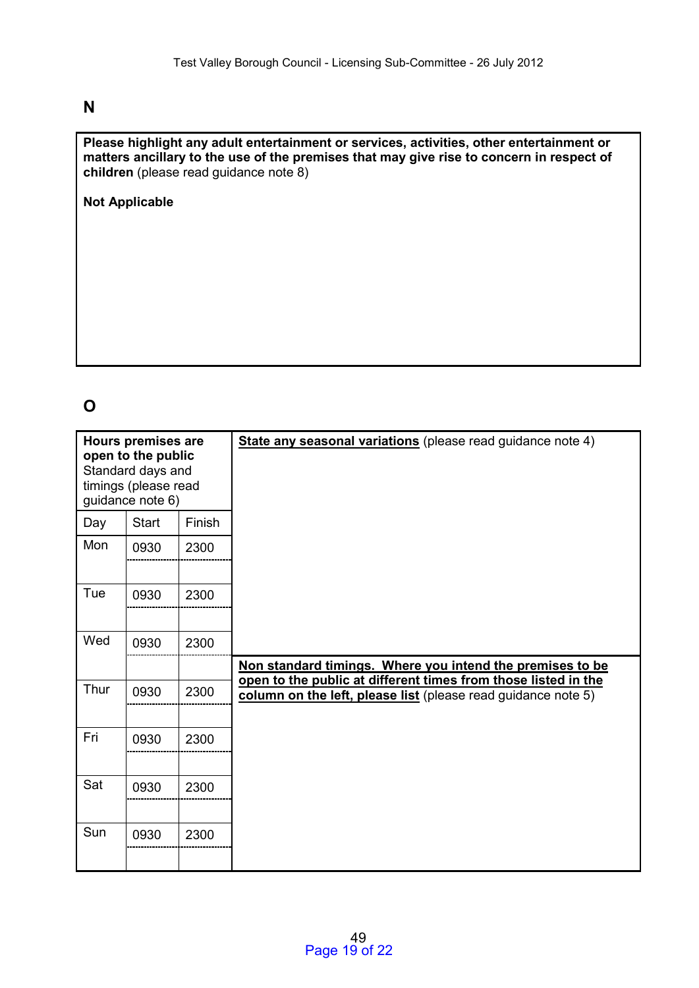# **N**

**Please highlight any adult entertainment or services, activities, other entertainment or matters ancillary to the use of the premises that may give rise to concern in respect of children** (please read guidance note 8)

**Not Applicable** 

# **O**

| <b>Hours premises are</b><br>open to the public<br>Standard days and<br>timings (please read<br>guidance note 6) |              |        | State any seasonal variations (please read guidance note 4)                                                                     |
|------------------------------------------------------------------------------------------------------------------|--------------|--------|---------------------------------------------------------------------------------------------------------------------------------|
| Day                                                                                                              | <b>Start</b> | Finish |                                                                                                                                 |
| Mon                                                                                                              | 0930         | 2300   |                                                                                                                                 |
| Tue                                                                                                              | 0930         | 2300   |                                                                                                                                 |
| Wed                                                                                                              | 0930         | 2300   |                                                                                                                                 |
|                                                                                                                  |              |        | Non standard timings. Where you intend the premises to be                                                                       |
| Thur                                                                                                             | 0930         | 2300   | open to the public at different times from those listed in the<br>column on the left, please list (please read guidance note 5) |
| Fri                                                                                                              | 0930         | 2300   |                                                                                                                                 |
| Sat                                                                                                              | 0930         | 2300   |                                                                                                                                 |
| Sun                                                                                                              | 0930         | 2300   |                                                                                                                                 |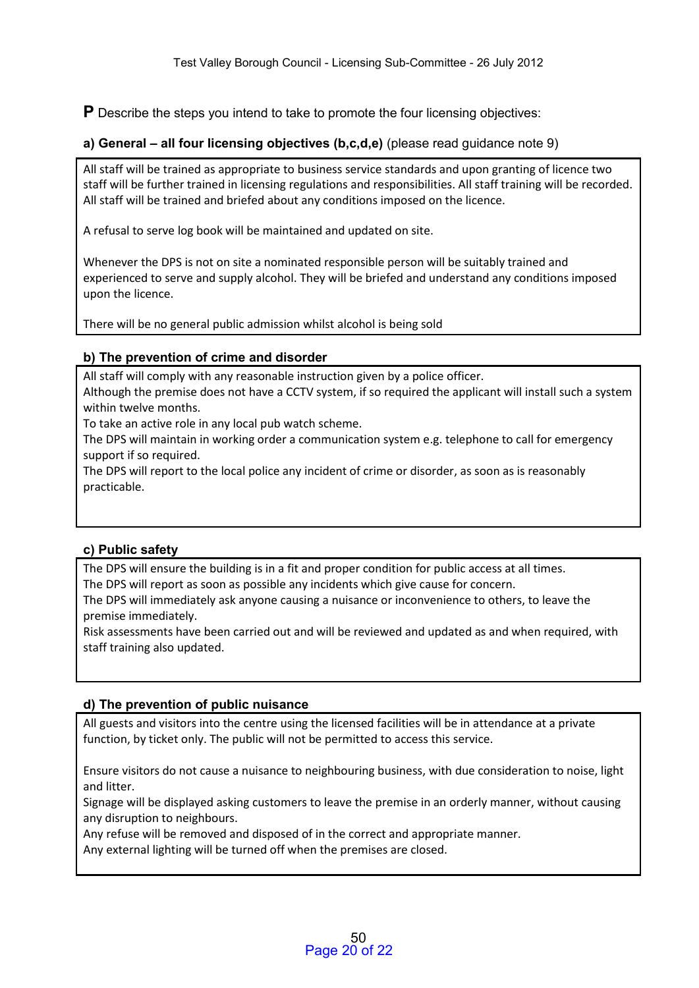**P** Describe the steps you intend to take to promote the four licensing objectives:

## **a) General – all four licensing objectives (b,c,d,e)** (please read guidance note 9)

All staff will be trained as appropriate to business service standards and upon granting of licence two staff will be further trained in licensing regulations and responsibilities. All staff training will be recorded. All staff will be trained and briefed about any conditions imposed on the licence.

A refusal to serve log book will be maintained and updated on site.

Whenever the DPS is not on site a nominated responsible person will be suitably trained and experienced to serve and supply alcohol. They will be briefed and understand any conditions imposed upon the licence.

There will be no general public admission whilst alcohol is being sold

## **b) The prevention of crime and disorder**

All staff will comply with any reasonable instruction given by a police officer.

Although the premise does not have a CCTV system, if so required the applicant will install such a system within twelve months.

To take an active role in any local pub watch scheme.

The DPS will maintain in working order a communication system e.g. telephone to call for emergency support if so required.

The DPS will report to the local police any incident of crime or disorder, as soon as is reasonably practicable.

## **c) Public safety**

The DPS will ensure the building is in a fit and proper condition for public access at all times. The DPS will report as soon as possible any incidents which give cause for concern.

The DPS will immediately ask anyone causing a nuisance or inconvenience to others, to leave the premise immediately.

Risk assessments have been carried out and will be reviewed and updated as and when required, with staff training also updated.

## **d) The prevention of public nuisance**

All guests and visitors into the centre using the licensed facilities will be in attendance at a private function, by ticket only. The public will not be permitted to access this service.

Ensure visitors do not cause a nuisance to neighbouring business, with due consideration to noise, light and litter.

Signage will be displayed asking customers to leave the premise in an orderly manner, without causing any disruption to neighbours.

Any refuse will be removed and disposed of in the correct and appropriate manner.

Any external lighting will be turned off when the premises are closed.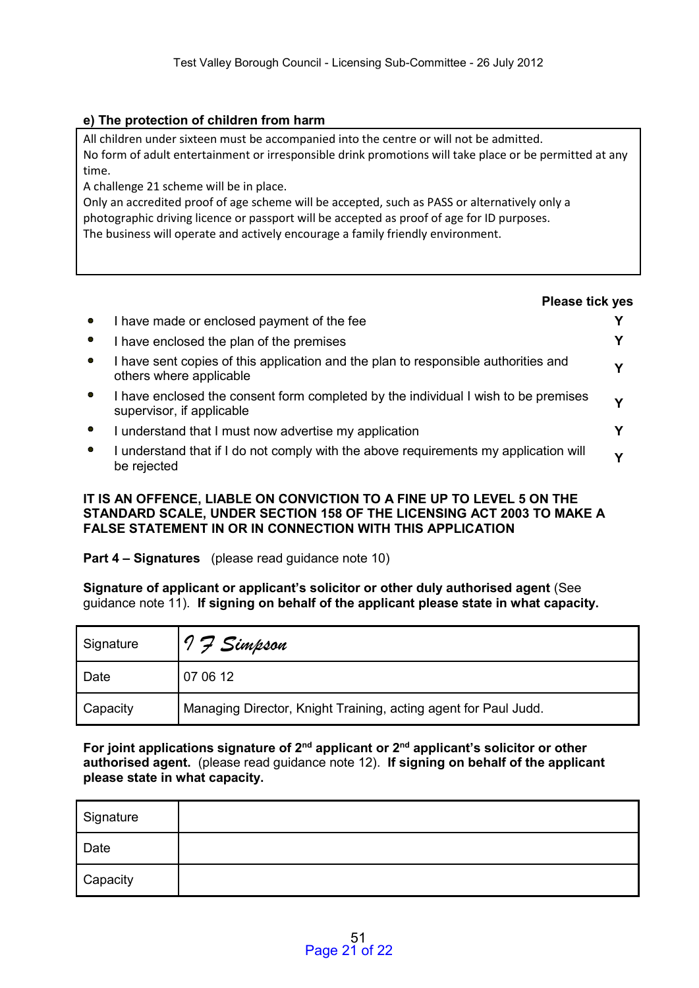### **e) The protection of children from harm**

All children under sixteen must be accompanied into the centre or will not be admitted. No form of adult entertainment or irresponsible drink promotions will take place or be permitted at any time.

A challenge 21 scheme will be in place.

Only an accredited proof of age scheme will be accepted, such as PASS or alternatively only a photographic driving licence or passport will be accepted as proof of age for ID purposes. The business will operate and actively encourage a family friendly environment.

#### **Please tick yes**

|           | I have made or enclosed payment of the fee                                                                      |   |
|-----------|-----------------------------------------------------------------------------------------------------------------|---|
| $\bullet$ | I have enclosed the plan of the premises                                                                        |   |
|           | I have sent copies of this application and the plan to responsible authorities and<br>others where applicable   | v |
|           | I have enclosed the consent form completed by the individual I wish to be premises<br>supervisor, if applicable | v |
| $\bullet$ | I understand that I must now advertise my application                                                           |   |
|           | I understand that if I do not comply with the above requirements my application will<br>be rejected             |   |

#### **IT IS AN OFFENCE, LIABLE ON CONVICTION TO A FINE UP TO LEVEL 5 ON THE STANDARD SCALE, UNDER SECTION 158 OF THE LICENSING ACT 2003 TO MAKE A FALSE STATEMENT IN OR IN CONNECTION WITH THIS APPLICATION**

### **Part 4 – Signatures** (please read guidance note 10)

**Signature of applicant or applicant's solicitor or other duly authorised agent** (See guidance note 11). **If signing on behalf of the applicant please state in what capacity.** 

| Signature | 7 F Simpson                                                     |  |  |
|-----------|-----------------------------------------------------------------|--|--|
| Date      | 07 06 12                                                        |  |  |
| Capacity  | Managing Director, Knight Training, acting agent for Paul Judd. |  |  |

**For joint applications signature of 2nd applicant or 2nd applicant's solicitor or other authorised agent.** (please read guidance note 12). **If signing on behalf of the applicant please state in what capacity.** 

| Signature |  |
|-----------|--|
| Date      |  |
| Capacity  |  |